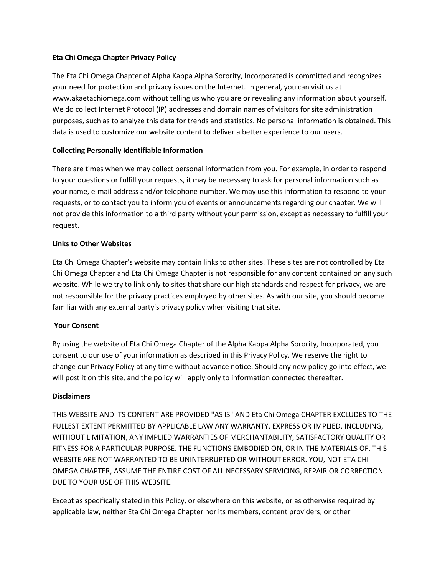# **Eta Chi Omega Chapter Privacy Policy**

The Eta Chi Omega Chapter of Alpha Kappa Alpha Sorority, Incorporated is committed and recognizes your need for protection and privacy issues on the Internet. In general, you can visit us at www.akaetachiomega.com without telling us who you are or revealing any information about yourself. We do collect Internet Protocol (IP) addresses and domain names of visitors for site administration purposes, such as to analyze this data for trends and statistics. No personal information is obtained. This data is used to customize our website content to deliver a better experience to our users.

# **Collecting Personally Identifiable Information**

There are times when we may collect personal information from you. For example, in order to respond to your questions or fulfill your requests, it may be necessary to ask for personal information such as your name, e-mail address and/or telephone number. We may use this information to respond to your requests, or to contact you to inform you of events or announcements regarding our chapter. We will not provide this information to a third party without your permission, except as necessary to fulfill your request.

# **Links to Other Websites**

Eta Chi Omega Chapter's website may contain links to other sites. These sites are not controlled by Eta Chi Omega Chapter and Eta Chi Omega Chapter is not responsible for any content contained on any such website. While we try to link only to sites that share our high standards and respect for privacy, we are not responsible for the privacy practices employed by other sites. As with our site, you should become familiar with any external party's privacy policy when visiting that site.

### **Your Consent**

By using the website of Eta Chi Omega Chapter of the Alpha Kappa Alpha Sorority, Incorporated, you consent to our use of your information as described in this Privacy Policy. We reserve the right to change our Privacy Policy at any time without advance notice. Should any new policy go into effect, we will post it on this site, and the policy will apply only to information connected thereafter.

### **Disclaimers**

THIS WEBSITE AND ITS CONTENT ARE PROVIDED "AS IS" AND Eta Chi Omega CHAPTER EXCLUDES TO THE FULLEST EXTENT PERMITTED BY APPLICABLE LAW ANY WARRANTY, EXPRESS OR IMPLIED, INCLUDING, WITHOUT LIMITATION, ANY IMPLIED WARRANTIES OF MERCHANTABILITY, SATISFACTORY QUALITY OR FITNESS FOR A PARTICULAR PURPOSE. THE FUNCTIONS EMBODIED ON, OR IN THE MATERIALS OF, THIS WEBSITE ARE NOT WARRANTED TO BE UNINTERRUPTED OR WITHOUT ERROR. YOU, NOT ETA CHI OMEGA CHAPTER, ASSUME THE ENTIRE COST OF ALL NECESSARY SERVICING, REPAIR OR CORRECTION DUE TO YOUR USE OF THIS WEBSITE.

Except as specifically stated in this Policy, or elsewhere on this website, or as otherwise required by applicable law, neither Eta Chi Omega Chapter nor its members, content providers, or other